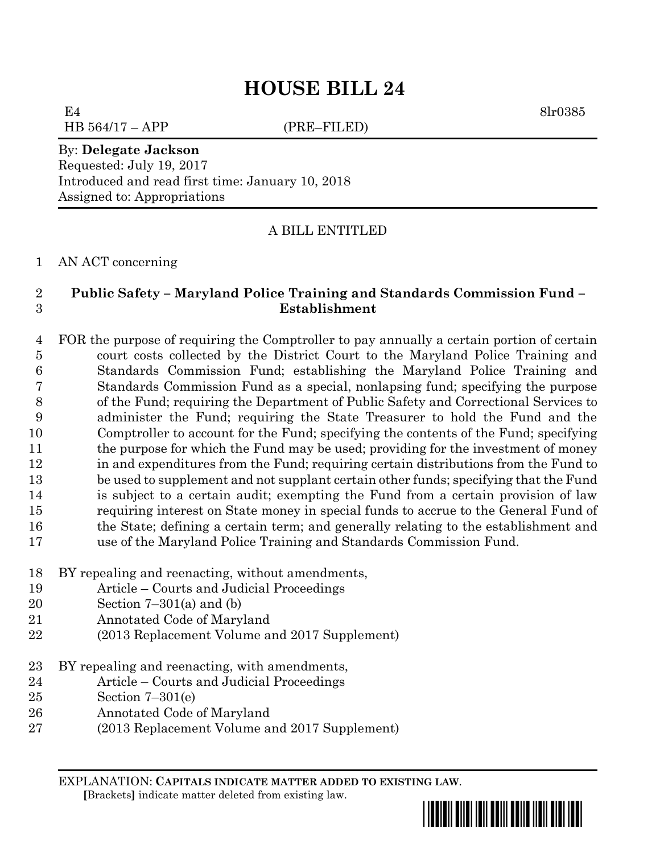# **HOUSE BILL 24**

E4 8lr0385  $HB\ 564/17 - APP$  (PRE–FILED)

#### By: **Delegate Jackson**

Requested: July 19, 2017 Introduced and read first time: January 10, 2018 Assigned to: Appropriations

### A BILL ENTITLED

#### AN ACT concerning

## **Public Safety – Maryland Police Training and Standards Commission Fund – Establishment**

 FOR the purpose of requiring the Comptroller to pay annually a certain portion of certain court costs collected by the District Court to the Maryland Police Training and Standards Commission Fund; establishing the Maryland Police Training and Standards Commission Fund as a special, nonlapsing fund; specifying the purpose of the Fund; requiring the Department of Public Safety and Correctional Services to administer the Fund; requiring the State Treasurer to hold the Fund and the Comptroller to account for the Fund; specifying the contents of the Fund; specifying 11 the purpose for which the Fund may be used; providing for the investment of money in and expenditures from the Fund; requiring certain distributions from the Fund to be used to supplement and not supplant certain other funds; specifying that the Fund is subject to a certain audit; exempting the Fund from a certain provision of law requiring interest on State money in special funds to accrue to the General Fund of the State; defining a certain term; and generally relating to the establishment and use of the Maryland Police Training and Standards Commission Fund.

- BY repealing and reenacting, without amendments,
- Article Courts and Judicial Proceedings
- Section 7–301(a) and (b)
- Annotated Code of Maryland
- (2013 Replacement Volume and 2017 Supplement)
- BY repealing and reenacting, with amendments,
- Article Courts and Judicial Proceedings
- Section 7–301(e)
- Annotated Code of Maryland
- (2013 Replacement Volume and 2017 Supplement)

EXPLANATION: **CAPITALS INDICATE MATTER ADDED TO EXISTING LAW**.  **[**Brackets**]** indicate matter deleted from existing law.

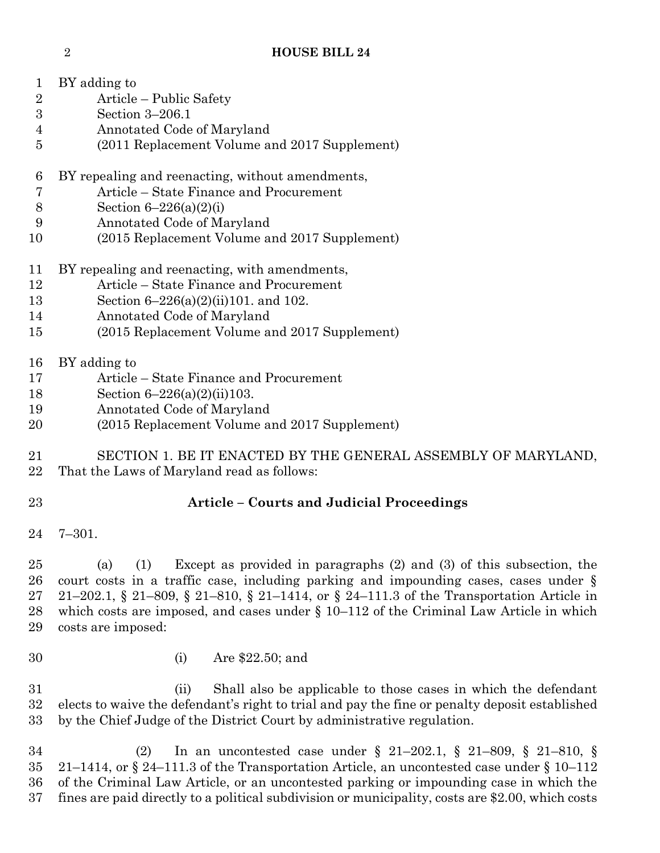## **HOUSE BILL 24**

| 1                | BY adding to                                                                              |
|------------------|-------------------------------------------------------------------------------------------|
| $\boldsymbol{2}$ | Article – Public Safety                                                                   |
| $\boldsymbol{3}$ | Section 3-206.1                                                                           |
| 4                | Annotated Code of Maryland                                                                |
| 5                | (2011 Replacement Volume and 2017 Supplement)                                             |
| 6                | BY repealing and reenacting, without amendments,                                          |
| 7                | Article – State Finance and Procurement                                                   |
| 8                | Section $6 - 226(a)(2)(i)$                                                                |
| 9                | Annotated Code of Maryland                                                                |
| 10               | (2015 Replacement Volume and 2017 Supplement)                                             |
| 11               | BY repealing and reenacting, with amendments,                                             |
| 12               | Article – State Finance and Procurement                                                   |
| 13               | Section $6-226(a)(2)(ii)101$ . and 102.                                                   |
| 14               | Annotated Code of Maryland                                                                |
| 15               | (2015 Replacement Volume and 2017 Supplement)                                             |
| 16               | BY adding to                                                                              |
| 17               | Article – State Finance and Procurement                                                   |
| 18               | Section $6-226(a)(2)(ii)103$ .                                                            |
| 19               | Annotated Code of Maryland                                                                |
| 20               | (2015 Replacement Volume and 2017 Supplement)                                             |
| 21               | SECTION 1. BE IT ENACTED BY THE GENERAL ASSEMBLY OF MARYLAND,                             |
| 22               | That the Laws of Maryland read as follows:                                                |
| 23               | <b>Article – Courts and Judicial Proceedings</b>                                          |
| 24               | $7 - 301.$                                                                                |
| 25               | Except as provided in paragraphs $(2)$ and $(3)$ of this subsection, the<br>(1)<br>(a)    |
| 26               | court costs in a traffic case, including parking and impounding cases, cases under $\S$   |
| 27               | 21–202.1, § 21–809, § 21–810, § 21–1414, or § 24–111.3 of the Transportation Article in   |
| 28               | which costs are imposed, and cases under $\S 10-112$ of the Criminal Law Article in which |
| 29               | costs are imposed:                                                                        |
| 30               | Are \$22.50; and<br>(i)                                                                   |

 (ii) Shall also be applicable to those cases in which the defendant elects to waive the defendant's right to trial and pay the fine or penalty deposit established by the Chief Judge of the District Court by administrative regulation.

 (2) In an uncontested case under § 21–202.1, § 21–809, § 21–810, § 21–1414, or § 24–111.3 of the Transportation Article, an uncontested case under § 10–112 of the Criminal Law Article, or an uncontested parking or impounding case in which the fines are paid directly to a political subdivision or municipality, costs are \$2.00, which costs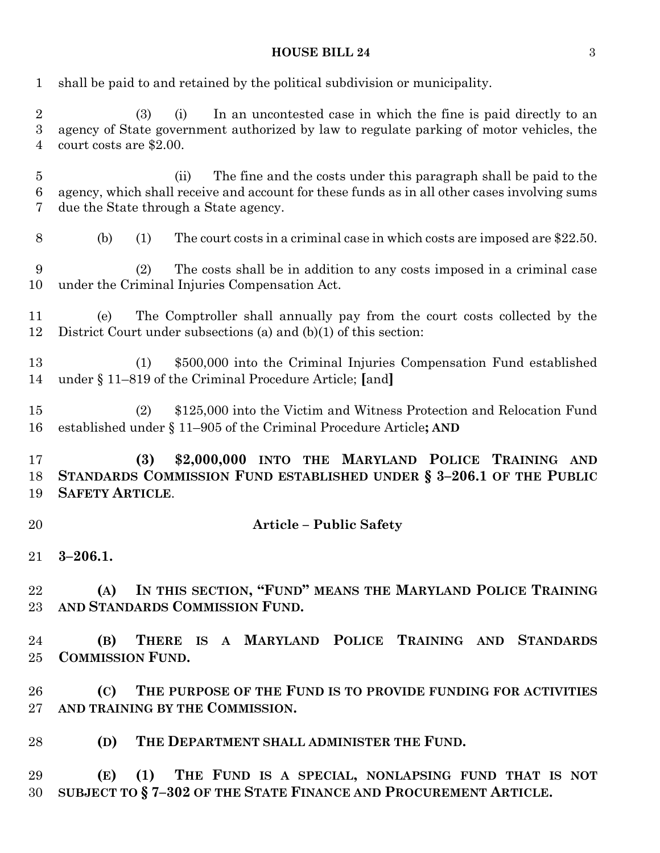## **HOUSE BILL 24** 3

| 1                                         | shall be paid to and retained by the political subdivision or municipality.                                                                                                                                       |
|-------------------------------------------|-------------------------------------------------------------------------------------------------------------------------------------------------------------------------------------------------------------------|
| $\boldsymbol{2}$<br>$\boldsymbol{3}$<br>4 | In an uncontested case in which the fine is paid directly to an<br>(3)<br>(i)<br>agency of State government authorized by law to regulate parking of motor vehicles, the<br>court costs are \$2.00.               |
| $\overline{5}$<br>$\boldsymbol{6}$<br>7   | The fine and the costs under this paragraph shall be paid to the<br>(ii)<br>agency, which shall receive and account for these funds as in all other cases involving sums<br>due the State through a State agency. |
| 8                                         | The court costs in a criminal case in which costs are imposed are \$22.50.<br>(b)<br>(1)                                                                                                                          |
| 9<br>10                                   | The costs shall be in addition to any costs imposed in a criminal case<br>(2)<br>under the Criminal Injuries Compensation Act.                                                                                    |
| 11<br>12                                  | The Comptroller shall annually pay from the court costs collected by the<br>(e)<br>District Court under subsections (a) and $(b)(1)$ of this section:                                                             |
| 13<br>14                                  | \$500,000 into the Criminal Injuries Compensation Fund established<br>(1)<br>under § 11–819 of the Criminal Procedure Article; [and]                                                                              |
| 15<br>16                                  | (2)<br>\$125,000 into the Victim and Witness Protection and Relocation Fund<br>established under § 11–905 of the Criminal Procedure Article; AND                                                                  |
|                                           |                                                                                                                                                                                                                   |
| 17<br>19                                  | (3)<br>\$2,000,000 INTO THE MARYLAND POLICE TRAINING AND<br>STANDARDS COMMISSION FUND ESTABLISHED UNDER § 3-206.1 OF THE PUBLIC<br><b>SAFETY ARTICLE.</b>                                                         |
| 18<br>20                                  | <b>Article - Public Safety</b>                                                                                                                                                                                    |
| 21                                        | $3 - 206.1$                                                                                                                                                                                                       |
| 22                                        | IN THIS SECTION, "FUND" MEANS THE MARYLAND POLICE TRAINING<br>(A)<br>23 AND STANDARDS COMMISSION FUND.                                                                                                            |
| 24                                        | (B) THERE IS A MARYLAND POLICE TRAINING AND STANDARDS                                                                                                                                                             |
| 25                                        | <b>COMMISSION FUND.</b>                                                                                                                                                                                           |
| 26                                        | THE PURPOSE OF THE FUND IS TO PROVIDE FUNDING FOR ACTIVITIES<br>(C)                                                                                                                                               |
|                                           | 27 AND TRAINING BY THE COMMISSION.                                                                                                                                                                                |
| 28                                        | THE DEPARTMENT SHALL ADMINISTER THE FUND.<br>(D)                                                                                                                                                                  |
| 29                                        | (E) (1) THE FUND IS A SPECIAL, NONLAPSING FUND THAT IS NOT                                                                                                                                                        |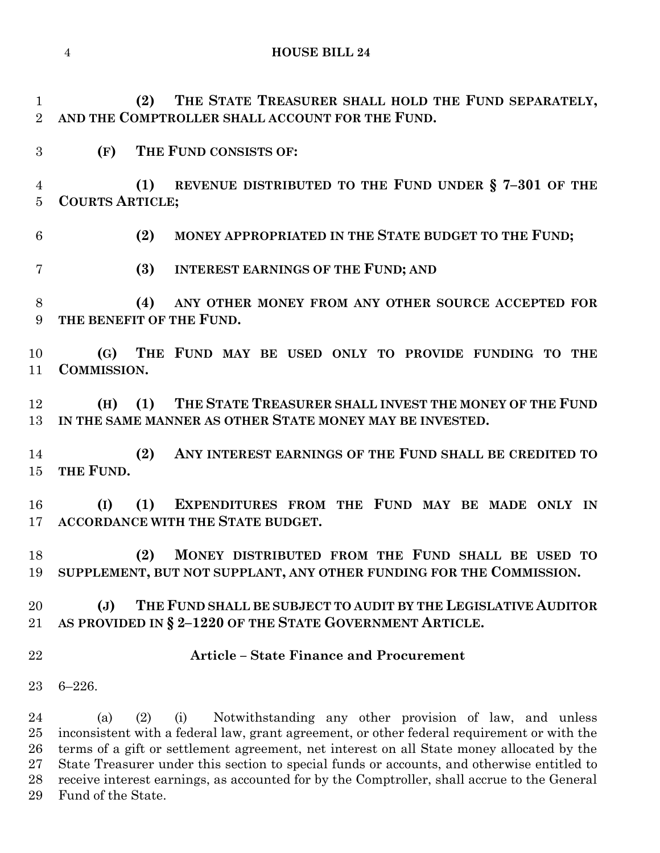**HOUSE BILL 24**

 **(2) THE STATE TREASURER SHALL HOLD THE FUND SEPARATELY, AND THE COMPTROLLER SHALL ACCOUNT FOR THE FUND.**

**(F) THE FUND CONSISTS OF:**

 **(1) REVENUE DISTRIBUTED TO THE FUND UNDER § 7–301 OF THE COURTS ARTICLE;**

**(2) MONEY APPROPRIATED IN THE STATE BUDGET TO THE FUND;**

**(3) INTEREST EARNINGS OF THE FUND; AND**

 **(4) ANY OTHER MONEY FROM ANY OTHER SOURCE ACCEPTED FOR THE BENEFIT OF THE FUND.**

 **(G) THE FUND MAY BE USED ONLY TO PROVIDE FUNDING TO THE COMMISSION.**

 **(H) (1) THE STATE TREASURER SHALL INVEST THE MONEY OF THE FUND IN THE SAME MANNER AS OTHER STATE MONEY MAY BE INVESTED.**

 **(2) ANY INTEREST EARNINGS OF THE FUND SHALL BE CREDITED TO THE FUND.**

 **(I) (1) EXPENDITURES FROM THE FUND MAY BE MADE ONLY IN ACCORDANCE WITH THE STATE BUDGET.**

 **(2) MONEY DISTRIBUTED FROM THE FUND SHALL BE USED TO SUPPLEMENT, BUT NOT SUPPLANT, ANY OTHER FUNDING FOR THE COMMISSION.**

 **(J) THE FUND SHALL BE SUBJECT TO AUDIT BY THE LEGISLATIVE AUDITOR AS PROVIDED IN § 2–1220 OF THE STATE GOVERNMENT ARTICLE.**

**Article – State Finance and Procurement**

6–226.

 (a) (2) (i) Notwithstanding any other provision of law, and unless inconsistent with a federal law, grant agreement, or other federal requirement or with the terms of a gift or settlement agreement, net interest on all State money allocated by the State Treasurer under this section to special funds or accounts, and otherwise entitled to receive interest earnings, as accounted for by the Comptroller, shall accrue to the General Fund of the State.